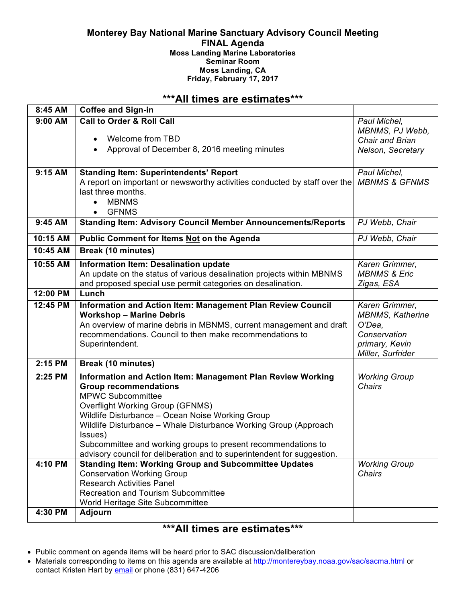#### **Monterey Bay National Marine Sanctuary Advisory Council Meeting FINAL Agenda Moss Landing Marine Laboratories Seminar Room Moss Landing, CA Friday, February 17, 2017**

# **\*\*\*All times are estimates\*\*\***

| 8:45 AM   | <b>Coffee and Sign-in</b>                                                                                                       |                          |
|-----------|---------------------------------------------------------------------------------------------------------------------------------|--------------------------|
| $9:00$ AM | <b>Call to Order &amp; Roll Call</b>                                                                                            | Paul Michel,             |
|           |                                                                                                                                 | MBNMS, PJ Webb,          |
|           | Welcome from TBD<br>$\bullet$                                                                                                   | Chair and Brian          |
|           | Approval of December 8, 2016 meeting minutes                                                                                    | Nelson, Secretary        |
|           |                                                                                                                                 |                          |
| 9:15 AM   | <b>Standing Item: Superintendents' Report</b>                                                                                   | Paul Michel,             |
|           | A report on important or newsworthy activities conducted by staff over the                                                      | <b>MBNMS &amp; GFNMS</b> |
|           | last three months.                                                                                                              |                          |
|           | <b>MBNMS</b>                                                                                                                    |                          |
|           | <b>GFNMS</b><br>$\bullet$                                                                                                       |                          |
| 9:45 AM   | <b>Standing Item: Advisory Council Member Announcements/Reports</b>                                                             | PJ Webb, Chair           |
| 10:15 AM  | <b>Public Comment for Items Not on the Agenda</b>                                                                               | PJ Webb, Chair           |
| 10:45 AM  | <b>Break (10 minutes)</b>                                                                                                       |                          |
| 10:55 AM  | Information Item: Desalination update                                                                                           | Karen Grimmer,           |
|           | An update on the status of various desalination projects within MBNMS                                                           | <b>MBNMS &amp; Eric</b>  |
|           | and proposed special use permit categories on desalination.                                                                     | Zigas, ESA               |
| 12:00 PM  | Lunch                                                                                                                           |                          |
| 12:45 PM  | <b>Information and Action Item: Management Plan Review Council</b>                                                              | Karen Grimmer,           |
|           | <b>Workshop - Marine Debris</b>                                                                                                 | <b>MBNMS, Katherine</b>  |
|           | An overview of marine debris in MBNMS, current management and draft<br>recommendations. Council to then make recommendations to | O'Dea,<br>Conservation   |
|           | Superintendent.                                                                                                                 | primary, Kevin           |
|           |                                                                                                                                 | Miller, Surfrider        |
| 2:15 PM   | <b>Break (10 minutes)</b>                                                                                                       |                          |
| 2:25 PM   | Information and Action Item: Management Plan Review Working                                                                     | <b>Working Group</b>     |
|           | <b>Group recommendations</b>                                                                                                    | <b>Chairs</b>            |
|           | <b>MPWC Subcommittee</b>                                                                                                        |                          |
|           | <b>Overflight Working Group (GFNMS)</b>                                                                                         |                          |
|           | Wildlife Disturbance - Ocean Noise Working Group                                                                                |                          |
|           | Wildlife Disturbance - Whale Disturbance Working Group (Approach                                                                |                          |
|           | Issues)                                                                                                                         |                          |
|           | Subcommittee and working groups to present recommendations to                                                                   |                          |
|           | advisory council for deliberation and to superintendent for suggestion.                                                         |                          |
| 4:10 PM   | <b>Standing Item: Working Group and Subcommittee Updates</b>                                                                    | <b>Working Group</b>     |
|           | <b>Conservation Working Group</b><br><b>Research Activities Panel</b>                                                           | Chairs                   |
|           | <b>Recreation and Tourism Subcommittee</b>                                                                                      |                          |
|           | World Heritage Site Subcommittee                                                                                                |                          |
| 4:30 PM   | Adjourn                                                                                                                         |                          |
|           |                                                                                                                                 |                          |

# **\*\*\*All times are estimates\*\*\***

- Public comment on agenda items will be heard prior to SAC discussion/deliberation
- Materials corresponding to items on this agenda are available at http://montereybay.noaa.gov/sac/sacma.html or contact Kristen Hart by email or phone (831) 647-4206